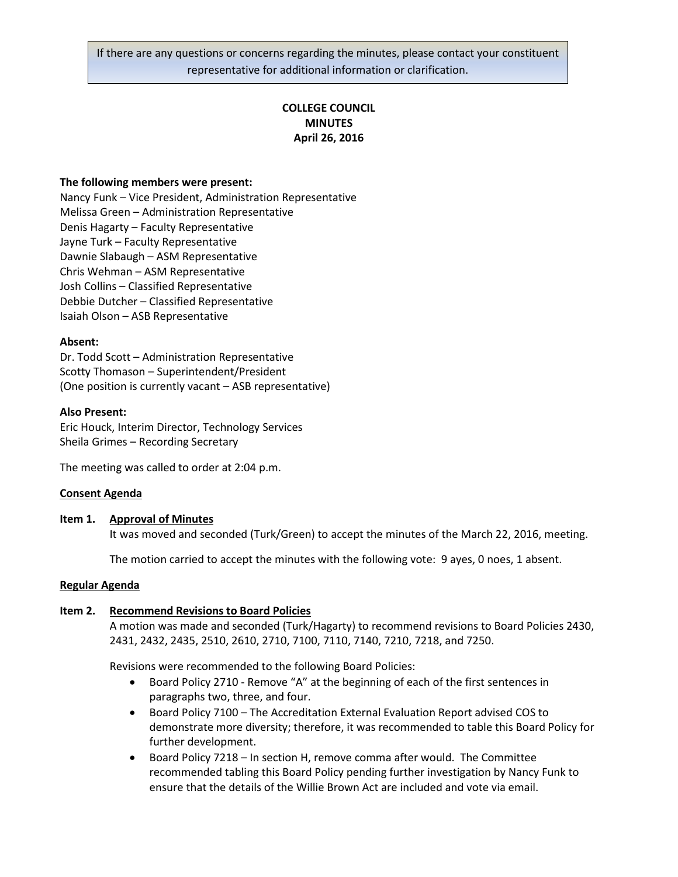If there are any questions or concerns regarding the minutes, please contact your constituent representative for additional information or clarification.

# **COLLEGE COUNCIL MINUTES April 26, 2016**

### **The following members were present:**

Nancy Funk – Vice President, Administration Representative Melissa Green – Administration Representative Denis Hagarty – Faculty Representative Jayne Turk – Faculty Representative Dawnie Slabaugh – ASM Representative Chris Wehman – ASM Representative Josh Collins – Classified Representative Debbie Dutcher – Classified Representative Isaiah Olson – ASB Representative

#### **Absent:**

Dr. Todd Scott – Administration Representative Scotty Thomason – Superintendent/President (One position is currently vacant – ASB representative)

### **Also Present:**

Eric Houck, Interim Director, Technology Services Sheila Grimes – Recording Secretary

The meeting was called to order at 2:04 p.m.

# **Consent Agenda**

#### **Item 1. Approval of Minutes**

It was moved and seconded (Turk/Green) to accept the minutes of the March 22, 2016, meeting.

The motion carried to accept the minutes with the following vote: 9 ayes, 0 noes, 1 absent.

### **Regular Agenda**

# **Item 2. Recommend Revisions to Board Policies**

A motion was made and seconded (Turk/Hagarty) to recommend revisions to Board Policies 2430, 2431, 2432, 2435, 2510, 2610, 2710, 7100, 7110, 7140, 7210, 7218, and 7250.

Revisions were recommended to the following Board Policies:

- Board Policy 2710 Remove "A" at the beginning of each of the first sentences in paragraphs two, three, and four.
- Board Policy 7100 The Accreditation External Evaluation Report advised COS to demonstrate more diversity; therefore, it was recommended to table this Board Policy for further development.
- Board Policy 7218 In section H, remove comma after would. The Committee recommended tabling this Board Policy pending further investigation by Nancy Funk to ensure that the details of the Willie Brown Act are included and vote via email.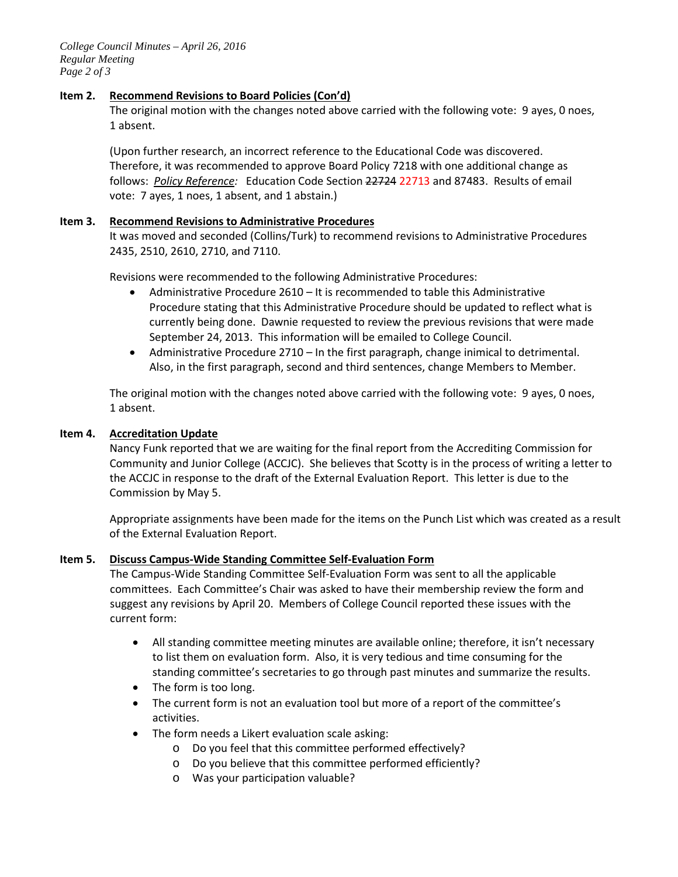*College Council Minutes – April 26, 2016 Regular Meeting Page 2 of 3*

# **Item 2. Recommend Revisions to Board Policies (Con'd)**

The original motion with the changes noted above carried with the following vote: 9 ayes, 0 noes, 1 absent.

(Upon further research, an incorrect reference to the Educational Code was discovered. Therefore, it was recommended to approve Board Policy 7218 with one additional change as follows: *Policy Reference:* Education Code Section 22724 22713 and 87483. Results of email vote: 7 ayes, 1 noes, 1 absent, and 1 abstain.)

### **Item 3. Recommend Revisions to Administrative Procedures**

It was moved and seconded (Collins/Turk) to recommend revisions to Administrative Procedures 2435, 2510, 2610, 2710, and 7110.

Revisions were recommended to the following Administrative Procedures:

- Administrative Procedure 2610 It is recommended to table this Administrative Procedure stating that this Administrative Procedure should be updated to reflect what is currently being done. Dawnie requested to review the previous revisions that were made September 24, 2013. This information will be emailed to College Council.
- Administrative Procedure 2710 In the first paragraph, change inimical to detrimental. Also, in the first paragraph, second and third sentences, change Members to Member.

The original motion with the changes noted above carried with the following vote: 9 ayes, 0 noes, 1 absent.

### **Item 4. Accreditation Update**

Nancy Funk reported that we are waiting for the final report from the Accrediting Commission for Community and Junior College (ACCJC). She believes that Scotty is in the process of writing a letter to the ACCJC in response to the draft of the External Evaluation Report. This letter is due to the Commission by May 5.

Appropriate assignments have been made for the items on the Punch List which was created as a result of the External Evaluation Report.

#### **Item 5. Discuss Campus-Wide Standing Committee Self-Evaluation Form**

The Campus-Wide Standing Committee Self-Evaluation Form was sent to all the applicable committees. Each Committee's Chair was asked to have their membership review the form and suggest any revisions by April 20. Members of College Council reported these issues with the current form:

- All standing committee meeting minutes are available online; therefore, it isn't necessary to list them on evaluation form. Also, it is very tedious and time consuming for the standing committee's secretaries to go through past minutes and summarize the results.
- The form is too long.
- The current form is not an evaluation tool but more of a report of the committee's activities.
- The form needs a Likert evaluation scale asking:
	- o Do you feel that this committee performed effectively?
	- o Do you believe that this committee performed efficiently?
	- o Was your participation valuable?